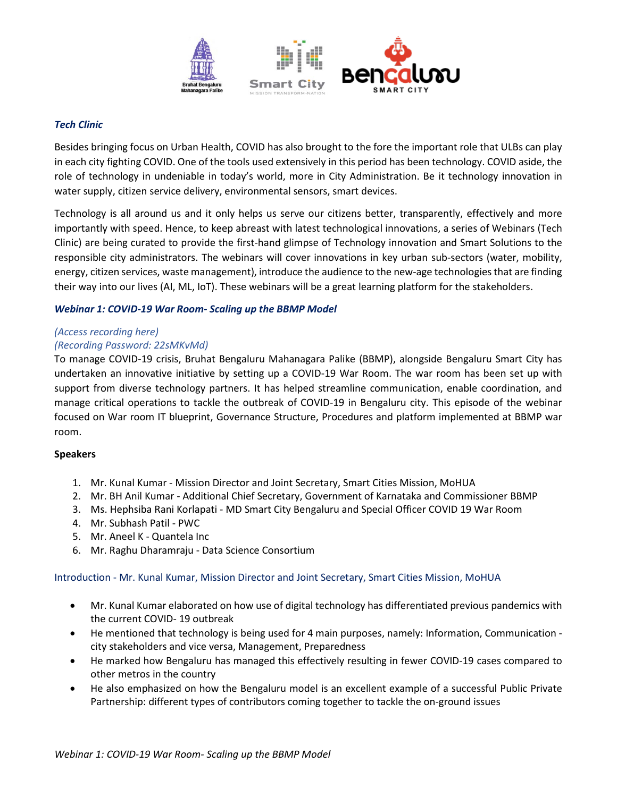

### *Tech Clinic*

Besides bringing focus on Urban Health, COVID has also brought to the fore the important role that ULBs can play in each city fighting COVID. One of the tools used extensively in this period has been technology. COVID aside, the role of technology in undeniable in today's world, more in City Administration. Be it technology innovation in water supply, citizen service delivery, environmental sensors, smart devices.

Technology is all around us and it only helps us serve our citizens better, transparently, effectively and more importantly with speed. Hence, to keep abreast with latest technological innovations, a series of Webinars (Tech Clinic) are being curated to provide the first-hand glimpse of Technology innovation and Smart Solutions to the responsible city administrators. The webinars will cover innovations in key urban sub-sectors (water, mobility, energy, citizen services, waste management), introduce the audience to the new-age technologies that are finding their way into our lives (AI, ML, IoT). These webinars will be a great learning platform for the stakeholders.

## *Webinar 1: COVID-19 War Room- Scaling up the BBMP Model*

### *[\(Access recording here\)](https://urldefense.com/v3/__https:/mohua-india.webex.com/mohua-india/lsr.php?RCID=d406e2507599b0931682f7c672083e0c__;!!N8Xdb1VRTUMlZeI!07H42HrU-YZ4XcIV7EFitgtwFxz59zPONzPqa2-U6PvD41SZORUBjFeYtKj2og0t$)*

## *(Recording Password: 22sMKvMd)*

To manage COVID-19 crisis, Bruhat Bengaluru Mahanagara Palike (BBMP), alongside Bengaluru Smart City has undertaken an innovative initiative by setting up a COVID-19 War Room. The war room has been set up with support from diverse technology partners. It has helped streamline communication, enable coordination, and manage critical operations to tackle the outbreak of COVID-19 in Bengaluru city. This episode of the webinar focused on War room IT blueprint, Governance Structure, Procedures and platform implemented at BBMP war room.

### **Speakers**

- 1. Mr. Kunal Kumar Mission Director and Joint Secretary, Smart Cities Mission, MoHUA
- 2. Mr. BH Anil Kumar Additional Chief Secretary, Government of Karnataka and Commissioner BBMP
- 3. Ms. Hephsiba Rani Korlapati MD Smart City Bengaluru and Special Officer COVID 19 War Room
- 4. Mr. Subhash Patil PWC
- 5. Mr. Aneel K Quantela Inc
- 6. Mr. Raghu Dharamraju Data Science Consortium

### Introduction - Mr. Kunal Kumar, Mission Director and Joint Secretary, Smart Cities Mission, MoHUA

- Mr. Kunal Kumar elaborated on how use of digital technology has differentiated previous pandemics with the current COVID- 19 outbreak
- He mentioned that technology is being used for 4 main purposes, namely: Information, Communication city stakeholders and vice versa, Management, Preparedness
- He marked how Bengaluru has managed this effectively resulting in fewer COVID-19 cases compared to other metros in the country
- He also emphasized on how the Bengaluru model is an excellent example of a successful Public Private Partnership: different types of contributors coming together to tackle the on-ground issues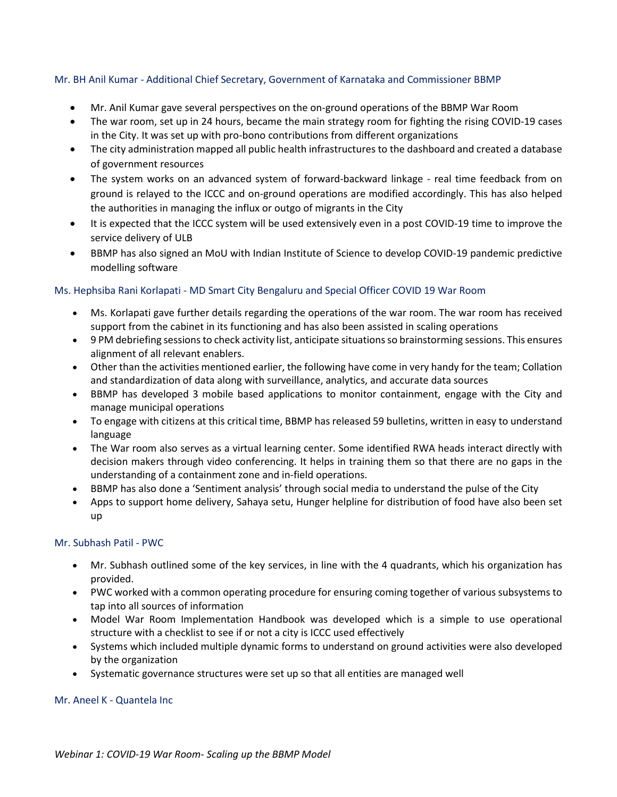## Mr. BH Anil Kumar - Additional Chief Secretary, Government of Karnataka and Commissioner BBMP

- Mr. Anil Kumar gave several perspectives on the on-ground operations of the BBMP War Room
- The war room, set up in 24 hours, became the main strategy room for fighting the rising COVID-19 cases in the City. It was set up with pro-bono contributions from different organizations
- The city administration mapped all public health infrastructures to the dashboard and created a database of government resources
- The system works on an advanced system of forward-backward linkage real time feedback from on ground is relayed to the ICCC and on-ground operations are modified accordingly. This has also helped the authorities in managing the influx or outgo of migrants in the City
- It is expected that the ICCC system will be used extensively even in a post COVID-19 time to improve the service delivery of ULB
- BBMP has also signed an MoU with Indian Institute of Science to develop COVID-19 pandemic predictive modelling software

# Ms. Hephsiba Rani Korlapati - MD Smart City Bengaluru and Special Officer COVID 19 War Room

- Ms. Korlapati gave further details regarding the operations of the war room. The war room has received support from the cabinet in its functioning and has also been assisted in scaling operations
- 9 PM debriefing sessions to check activity list, anticipate situations so brainstorming sessions. This ensures alignment of all relevant enablers.
- Other than the activities mentioned earlier, the following have come in very handy for the team; Collation and standardization of data along with surveillance, analytics, and accurate data sources
- BBMP has developed 3 mobile based applications to monitor containment, engage with the City and manage municipal operations
- To engage with citizens at this critical time, BBMP has released 59 bulletins, written in easy to understand language
- The War room also serves as a virtual learning center. Some identified RWA heads interact directly with decision makers through video conferencing. It helps in training them so that there are no gaps in the understanding of a containment zone and in-field operations.
- BBMP has also done a 'Sentiment analysis' through social media to understand the pulse of the City
- Apps to support home delivery, Sahaya setu, Hunger helpline for distribution of food have also been set up

## Mr. Subhash Patil - PWC

- Mr. Subhash outlined some of the key services, in line with the 4 quadrants, which his organization has provided.
- PWC worked with a common operating procedure for ensuring coming together of various subsystems to tap into all sources of information
- Model War Room Implementation Handbook was developed which is a simple to use operational structure with a checklist to see if or not a city is ICCC used effectively
- Systems which included multiple dynamic forms to understand on ground activities were also developed by the organization
- Systematic governance structures were set up so that all entities are managed well

## Mr. Aneel K - Quantela Inc